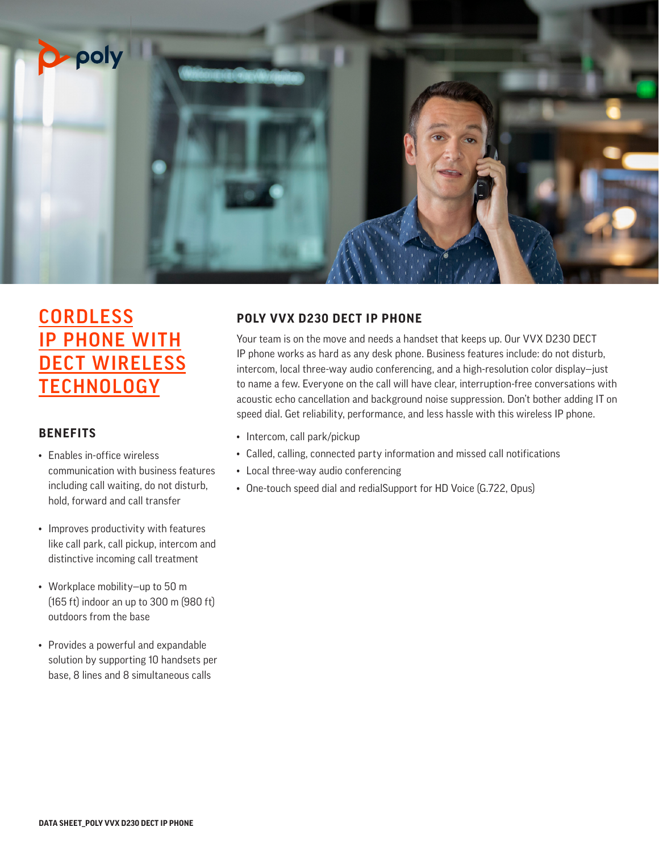

# **CORDLESS** IP PHONE WITH DECT WIRELESS **TECHNOLOGY**

# **BENEFITS**

- Enables in-office wireless communication with business features including call waiting, do not disturb, hold, forward and call transfer
- Improves productivity with features like call park, call pickup, intercom and distinctive incoming call treatment
- Workplace mobility—up to 50 m (165 ft) indoor an up to 300 m (980 ft) outdoors from the base
- Provides a powerful and expandable solution by supporting 10 handsets per base, 8 lines and 8 simultaneous calls

# **POLY VVX D230 DECT IP PHONE**

Your team is on the move and needs a handset that keeps up. Our VVX D230 DECT IP phone works as hard as any desk phone. Business features include: do not disturb, intercom, local three-way audio conferencing, and a high-resolution color display—just to name a few. Everyone on the call will have clear, interruption-free conversations with acoustic echo cancellation and background noise suppression. Don't bother adding IT on speed dial. Get reliability, performance, and less hassle with this wireless IP phone.

- Intercom, call park/pickup
- Called, calling, connected party information and missed call notifications
- Local three-way audio conferencing
- One-touch speed dial and redialSupport for HD Voice (G.722, Opus)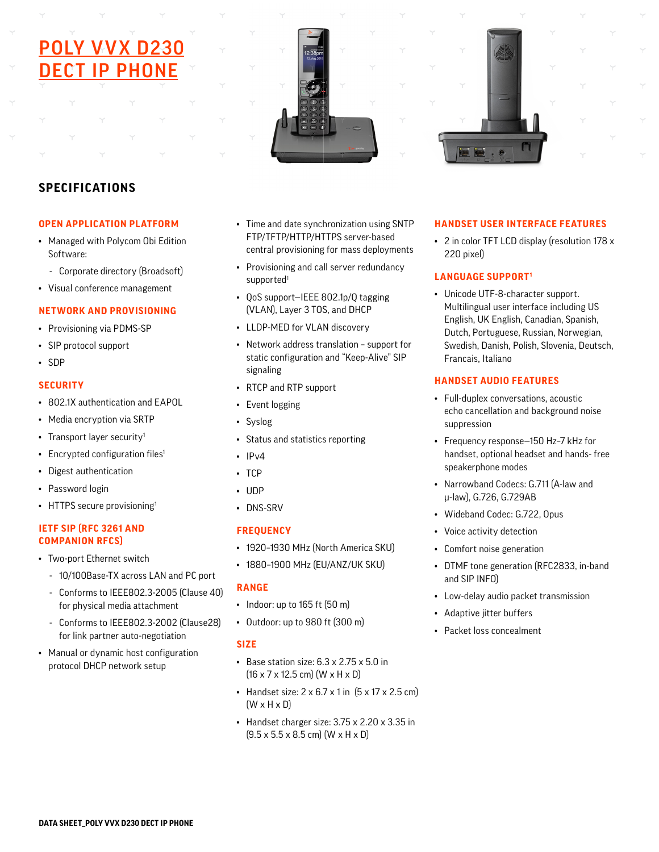# LY VVX D23 DECT IP PHONE





# **SPECIFICATIONS**

#### **OPEN APPLICATION PLATFORM**

- Managed with Polycom Obi Edition Software:
	- Corporate directory (Broadsoft)
- Visual conference management

# **NETWORK AND PROVISIONING**

- Provisioning via PDMS-SP
- SIP protocol support
- SDP

#### **SECURITY**

- 802.1X authentication and EAPOL
- Media encryption via SRTP
- Transport layer security<sup>1</sup>
- Encrypted configuration files<sup>1</sup>
- Digest authentication
- Password login
- HTTPS secure provisioning<sup>1</sup>

#### **IETF SIP (RFC 3261 AND COMPANION RFCS)**

- Two-port Ethernet switch
	- 10/100Base-TX across LAN and PC port
	- Conforms to IEEE802.3-2005 (Clause 40) for physical media attachment
	- Conforms to IEEE802.3-2002 (Clause28) for link partner auto-negotiation
- Manual or dynamic host configuration protocol DHCP network setup
- Time and date synchronization using SNTP FTP/TFTP/HTTP/HTTPS server-based central provisioning for mass deployments
- Provisioning and call server redundancy supported<sup>1</sup>
- QoS support—IEEE 802.1p/Q tagging (VLAN), Layer 3 TOS, and DHCP
- LLDP-MED for VLAN discovery
- Network address translation support for static configuration and "Keep-Alive" SIP signaling
- RTCP and RTP support
- Event logging
- Syslog
- Status and statistics reporting
- $\cdot$  IPv4
- TCP
- UDP
- DNS-SRV

# **FREQUENCY**

- 1920–1930 MHz (North America SKU)
- 1880–1900 MHz (EU/ANZ/UK SKU)

# **RANGE**

- Indoor: up to 165 ft (50 m)
- Outdoor: up to 980 ft (300 m)

# **SIZE**

- Base station size: 6.3 x 2.75 x 5.0 in  $(16 \times 7 \times 12.5 \text{ cm})$   $(W \times H \times D)$
- Handset size:  $2 \times 6.7 \times 1$  in  $(5 \times 17 \times 2.5 \text{ cm})$  $(W \times H \times D)$
- Handset charger size: 3.75 x 2.20 x 3.35 in  $(9.5 \times 5.5 \times 8.5 \text{ cm})$  (W  $\times$  H  $\times$  D)

#### **HANDSET USER INTERFACE FEATURES**

• 2 in color TFT LCD display (resolution 178 x 220 pixel)

# **LANGUAGE SUPPORT1**

• Unicode UTF-8-character support. Multilingual user interface including US English, UK English, Canadian, Spanish, Dutch, Portuguese, Russian, Norwegian, Swedish, Danish, Polish, Slovenia, Deutsch, Francais, Italiano

# **HANDSET AUDIO FEATURES**

- Full-duplex conversations, acoustic echo cancellation and background noise suppression
- Frequency response—150 Hz–7 kHz for handset, optional headset and hands- free speakerphone modes
- Narrowband Codecs: G.711 (A-law and μ-law), G.726, G.729AB
- Wideband Codec: G.722, Opus
- Voice activity detection
- Comfort noise generation
- DTMF tone generation (RFC2833, in-band and SIP INFO)
- Low-delay audio packet transmission
- Adaptive jitter buffers
- Packet loss concealment